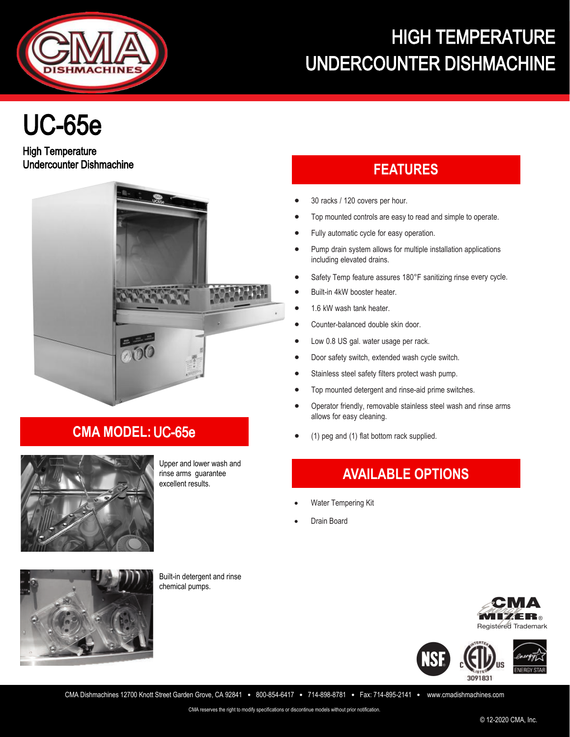

# HIGH TEMPERATURE UNDERCOUNTER DISHMACHINE

# UC-65e

High Temperature **Undercounter Dishmachine FEATURES** 



## **CMA MODEL:** UC-65e



Upper and lower wash and rinse arms guarantee excellent results.

- 30 racks / 120 covers per hour.
- Top mounted controls are easy to read and simple to operate.
- Fully automatic cycle for easy operation.
- Pump drain system allows for multiple installation applications including elevated drains.
- Safety Temp feature assures 180°F sanitizing rinse every cycle.
- Built-in 4kW booster heater.
- 1.6 kW wash tank heater.
- Counter-balanced double skin door.
- Low 0.8 US gal. water usage per rack.
- Door safety switch, extended wash cycle switch.
- Stainless steel safety filters protect wash pump.
- Top mounted detergent and rinse-aid prime switches.
- Operator friendly, removable stainless steel wash and rinse arms allows for easy cleaning.
- (1) peg and (1) flat bottom rack supplied.

# **AVAILABLE OPTIONS**

- Water Tempering Kit
- Drain Board



Built-in detergent and rinse chemical pumps.





CMA Dishmachines 12700 Knott Street Garden Grove, CA 92841 • 800-854-6417 • 714-898-8781 • Fax: 714-895-2141 • www.cmadishmachines.com

CMA reserves the right to modify specifications or discontinue models without prior notification.